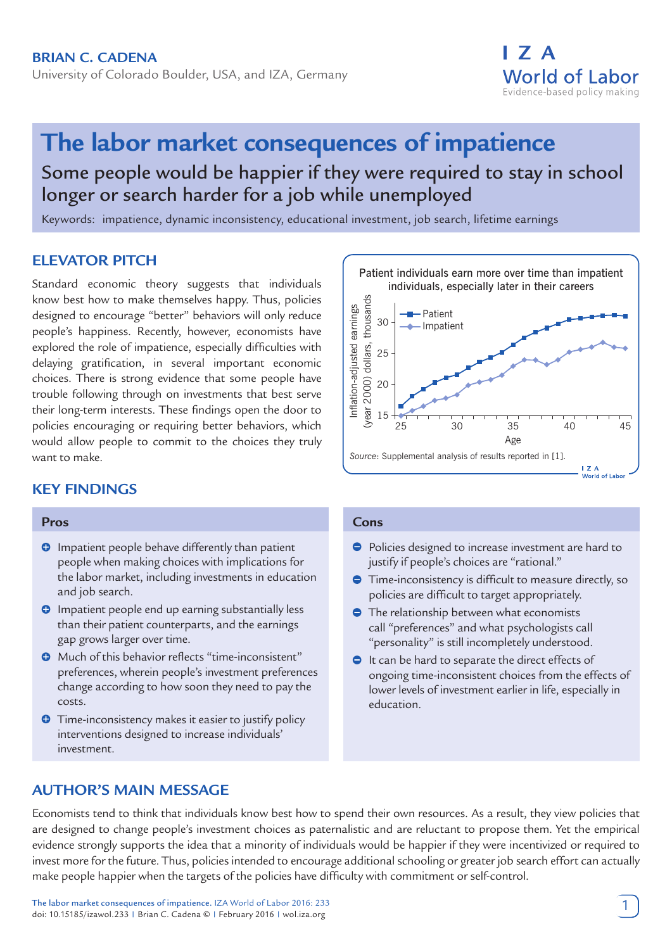University of Colorado Boulder, USA, and IZA, Germany

# I 7 A **World of Labor** Evidence-based policy making

# **The labor market consequences of impatience**

Some people would be happier if they were required to stay in school longer or search harder for a job while unemployed

Keywords: impatience, dynamic inconsistency, educational investment, job search, lifetime earnings

# **ELEVATOR PITCH**

Standard economic theory suggests that individuals know best how to make themselves happy. Thus, policies designed to encourage "better" behaviors will only reduce people's happiness. Recently, however, economists have explored the role of impatience, especially difficulties with delaying gratification, in several important economic choices. There is strong evidence that some people have trouble following through on investments that best serve their long-term interests. These findings open the door to policies encouraging or requiring better behaviors, which would allow people to commit to the choices they truly want to make.

# **KEY FINDINGS**

#### **Pros**

- **O** Impatient people behave differently than patient people when making choices with implications for the labor market, including investments in education and job search.
- **O** Impatient people end up earning substantially less than their patient counterparts, and the earnings gap grows larger over time.
- **O** Much of this behavior reflects "time-inconsistent" preferences, wherein people's investment preferences change according to how soon they need to pay the costs.
- **O** Time-inconsistency makes it easier to justify policy interventions designed to increase individuals' investment.



#### **Cons**

- Policies designed to increase investment are hard to justify if people's choices are "rational."
- **Time-inconsistency is difficult to measure directly, so** policies are difficult to target appropriately.
- The relationship between what economists call "preferences" and what psychologists call "personality" is still incompletely understood.
- $\bullet$  It can be hard to separate the direct effects of ongoing time-inconsistent choices from the effects of lower levels of investment earlier in life, especially in education.

# **AUTHOR'S MAIN MESSAGE**

Economists tend to think that individuals know best how to spend their own resources. As a result, they view policies that are designed to change people's investment choices as paternalistic and are reluctant to propose them. Yet the empirical evidence strongly supports the idea that a minority of individuals would be happier if they were incentivized or required to invest more for the future. Thus, policies intended to encourage additional schooling or greater job search effort can actually make people happier when the targets of the policies have difficulty with commitment or self-control.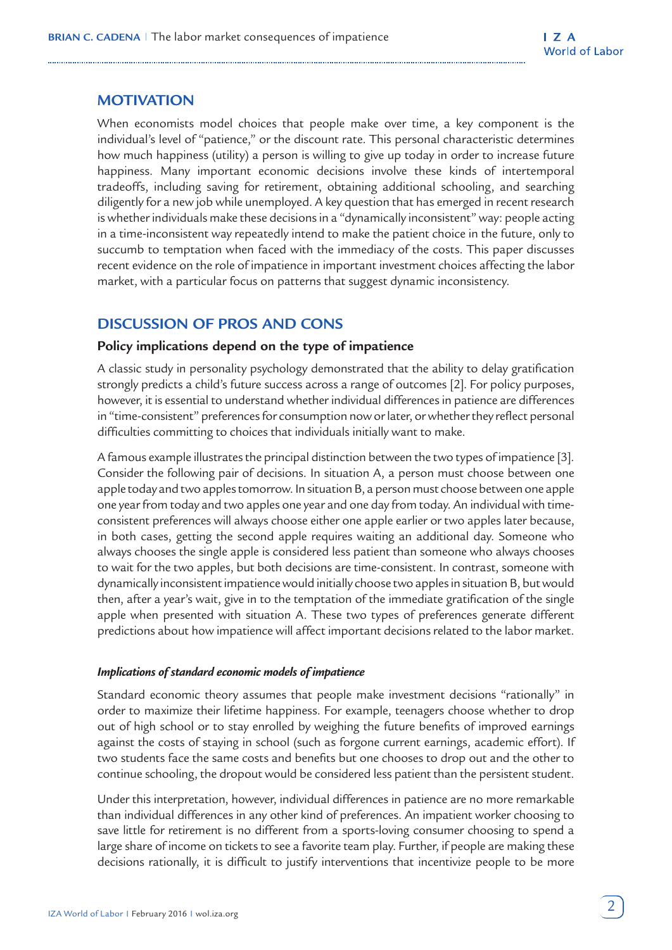# **MOTIVATION**

When economists model choices that people make over time, a key component is the individual's level of "patience," or the discount rate. This personal characteristic determines how much happiness (utility) a person is willing to give up today in order to increase future happiness. Many important economic decisions involve these kinds of intertemporal tradeoffs, including saving for retirement, obtaining additional schooling, and searching diligently for a new job while unemployed. A key question that has emerged in recent research is whether individuals make these decisions in a "dynamically inconsistent" way: people acting in a time-inconsistent way repeatedly intend to make the patient choice in the future, only to succumb to temptation when faced with the immediacy of the costs. This paper discusses recent evidence on the role of impatience in important investment choices affecting the labor market, with a particular focus on patterns that suggest dynamic inconsistency.

# **DISCUSSION OF PROS AND CONS**

#### **Policy implications depend on the type of impatience**

A classic study in personality psychology demonstrated that the ability to delay gratification strongly predicts a child's future success across a range of outcomes [2]. For policy purposes, however, it is essential to understand whether individual differences in patience are differences in "time-consistent" preferences for consumption now or later, or whether they reflect personal difficulties committing to choices that individuals initially want to make.

A famous example illustrates the principal distinction between the two types of impatience [3]. Consider the following pair of decisions. In situation A, a person must choose between one apple today and two apples tomorrow. In situation B, a person must choose between one apple one year from today and two apples one year and one day from today. An individual with timeconsistent preferences will always choose either one apple earlier or two apples later because, in both cases, getting the second apple requires waiting an additional day. Someone who always chooses the single apple is considered less patient than someone who always chooses to wait for the two apples, but both decisions are time-consistent. In contrast, someone with dynamically inconsistent impatience would initially choose two apples in situation B, but would then, after a year's wait, give in to the temptation of the immediate gratification of the single apple when presented with situation A. These two types of preferences generate different predictions about how impatience will affect important decisions related to the labor market.

### *Implications of standard economic models of impatience*

Standard economic theory assumes that people make investment decisions "rationally" in order to maximize their lifetime happiness. For example, teenagers choose whether to drop out of high school or to stay enrolled by weighing the future benefits of improved earnings against the costs of staying in school (such as forgone current earnings, academic effort). If two students face the same costs and benefits but one chooses to drop out and the other to continue schooling, the dropout would be considered less patient than the persistent student.

Under this interpretation, however, individual differences in patience are no more remarkable than individual differences in any other kind of preferences. An impatient worker choosing to save little for retirement is no different from a sports-loving consumer choosing to spend a large share of income on tickets to see a favorite team play. Further, if people are making these decisions rationally, it is difficult to justify interventions that incentivize people to be more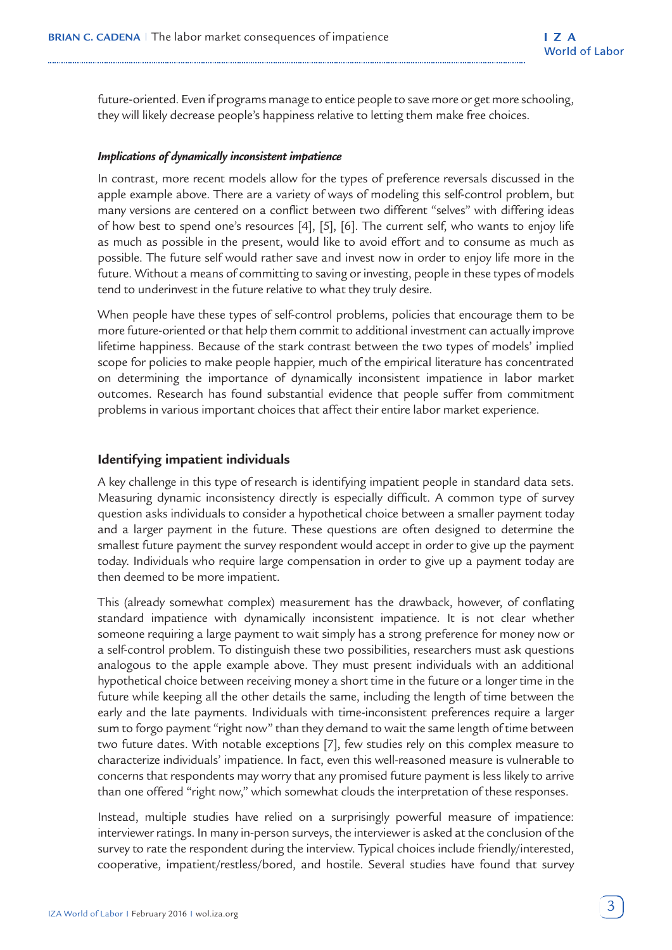future-oriented. Even if programs manage to entice people to save more or get more schooling, they will likely decrease people's happiness relative to letting them make free choices.

#### *Implications of dynamically inconsistent impatience*

In contrast, more recent models allow for the types of preference reversals discussed in the apple example above. There are a variety of ways of modeling this self-control problem, but many versions are centered on a conflict between two different "selves" with differing ideas of how best to spend one's resources [4], [5], [6]. The current self, who wants to enjoy life as much as possible in the present, would like to avoid effort and to consume as much as possible. The future self would rather save and invest now in order to enjoy life more in the future. Without a means of committing to saving or investing, people in these types of models tend to underinvest in the future relative to what they truly desire.

When people have these types of self-control problems, policies that encourage them to be more future-oriented or that help them commit to additional investment can actually improve lifetime happiness. Because of the stark contrast between the two types of models' implied scope for policies to make people happier, much of the empirical literature has concentrated on determining the importance of dynamically inconsistent impatience in labor market outcomes. Research has found substantial evidence that people suffer from commitment problems in various important choices that affect their entire labor market experience.

#### **Identifying impatient individuals**

A key challenge in this type of research is identifying impatient people in standard data sets. Measuring dynamic inconsistency directly is especially difficult. A common type of survey question asks individuals to consider a hypothetical choice between a smaller payment today and a larger payment in the future. These questions are often designed to determine the smallest future payment the survey respondent would accept in order to give up the payment today. Individuals who require large compensation in order to give up a payment today are then deemed to be more impatient.

This (already somewhat complex) measurement has the drawback, however, of conflating standard impatience with dynamically inconsistent impatience. It is not clear whether someone requiring a large payment to wait simply has a strong preference for money now or a self-control problem. To distinguish these two possibilities, researchers must ask questions analogous to the apple example above. They must present individuals with an additional hypothetical choice between receiving money a short time in the future or a longer time in the future while keeping all the other details the same, including the length of time between the early and the late payments. Individuals with time-inconsistent preferences require a larger sum to forgo payment "right now" than they demand to wait the same length of time between two future dates. With notable exceptions [7], few studies rely on this complex measure to characterize individuals' impatience. In fact, even this well-reasoned measure is vulnerable to concerns that respondents may worry that any promised future payment is less likely to arrive than one offered "right now," which somewhat clouds the interpretation of these responses.

Instead, multiple studies have relied on a surprisingly powerful measure of impatience: interviewer ratings. In many in-person surveys, the interviewer is asked at the conclusion of the survey to rate the respondent during the interview. Typical choices include friendly/interested, cooperative, impatient/restless/bored, and hostile. Several studies have found that survey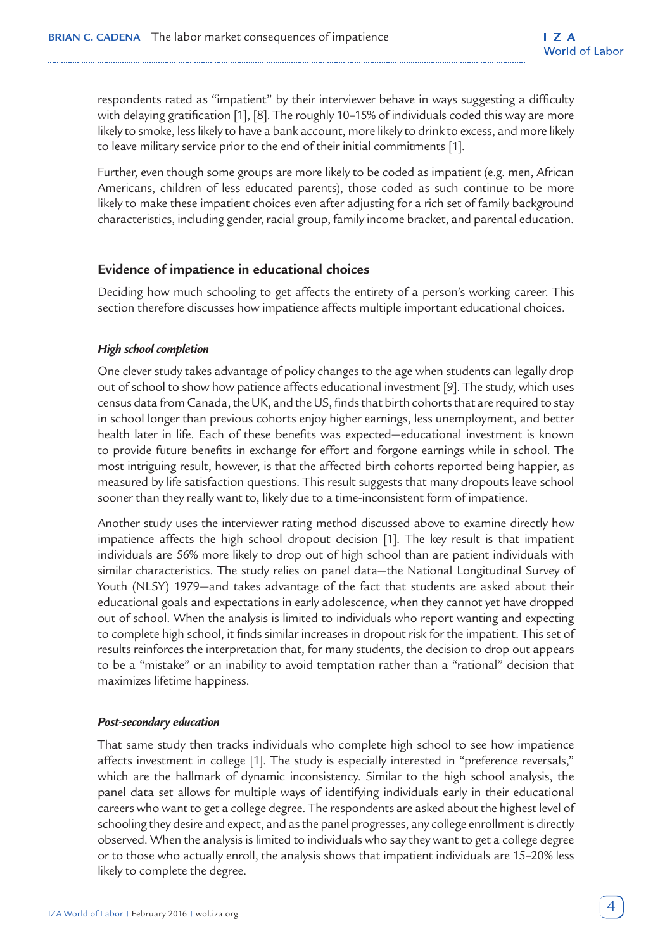respondents rated as "impatient" by their interviewer behave in ways suggesting a difficulty with delaying gratification [1], [8]. The roughly 10–15% of individuals coded this way are more likely to smoke, less likely to have a bank account, more likely to drink to excess, and more likely to leave military service prior to the end of their initial commitments [1].

Further, even though some groups are more likely to be coded as impatient (e.g. men, African Americans, children of less educated parents), those coded as such continue to be more likely to make these impatient choices even after adjusting for a rich set of family background characteristics, including gender, racial group, family income bracket, and parental education.

## **Evidence of impatience in educational choices**

Deciding how much schooling to get affects the entirety of a person's working career. This section therefore discusses how impatience affects multiple important educational choices.

#### *High school completion*

One clever study takes advantage of policy changes to the age when students can legally drop out of school to show how patience affects educational investment [9]. The study, which uses census data from Canada, the UK, and the US, finds that birth cohorts that are required to stay in school longer than previous cohorts enjoy higher earnings, less unemployment, and better health later in life. Each of these benefits was expected—educational investment is known to provide future benefits in exchange for effort and forgone earnings while in school. The most intriguing result, however, is that the affected birth cohorts reported being happier, as measured by life satisfaction questions. This result suggests that many dropouts leave school sooner than they really want to, likely due to a time-inconsistent form of impatience.

Another study uses the interviewer rating method discussed above to examine directly how impatience affects the high school dropout decision [1]. The key result is that impatient individuals are 56% more likely to drop out of high school than are patient individuals with similar characteristics. The study relies on panel data—the National Longitudinal Survey of Youth (NLSY) 1979—and takes advantage of the fact that students are asked about their educational goals and expectations in early adolescence, when they cannot yet have dropped out of school. When the analysis is limited to individuals who report wanting and expecting to complete high school, it finds similar increases in dropout risk for the impatient. This set of results reinforces the interpretation that, for many students, the decision to drop out appears to be a "mistake" or an inability to avoid temptation rather than a "rational" decision that maximizes lifetime happiness.

#### *Post-secondary education*

That same study then tracks individuals who complete high school to see how impatience affects investment in college [1]. The study is especially interested in "preference reversals," which are the hallmark of dynamic inconsistency. Similar to the high school analysis, the panel data set allows for multiple ways of identifying individuals early in their educational careers who want to get a college degree. The respondents are asked about the highest level of schooling they desire and expect, and as the panel progresses, any college enrollment is directly observed. When the analysis is limited to individuals who say they want to get a college degree or to those who actually enroll, the analysis shows that impatient individuals are 15–20% less likely to complete the degree.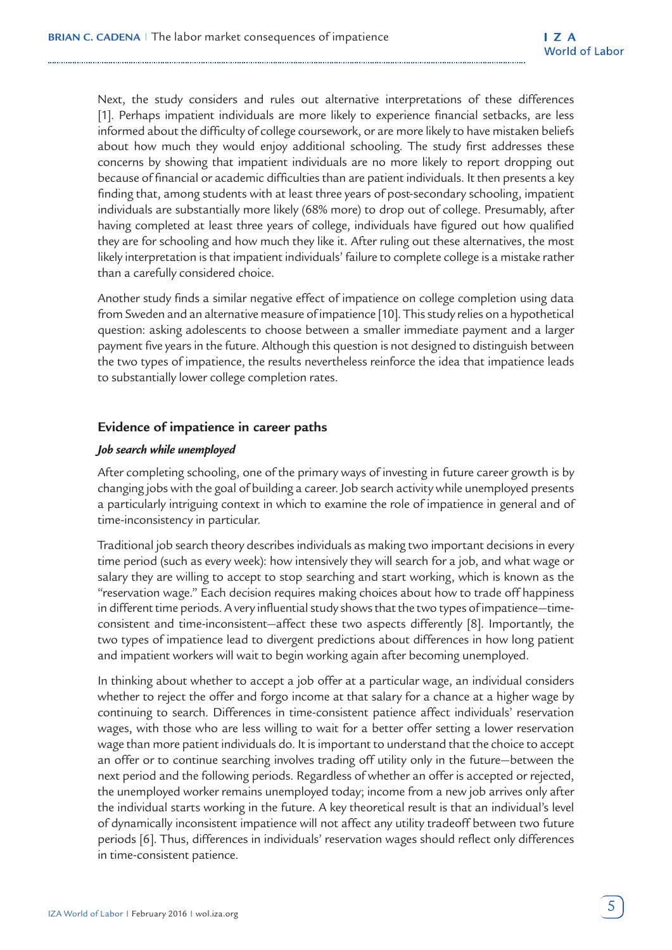Next, the study considers and rules out alternative interpretations of these differences [1]. Perhaps impatient individuals are more likely to experience financial setbacks, are less informed about the difficulty of college coursework, or are more likely to have mistaken beliefs about how much they would enjoy additional schooling. The study first addresses these concerns by showing that impatient individuals are no more likely to report dropping out because of financial or academic difficulties than are patient individuals. It then presents a key finding that, among students with at least three years of post-secondary schooling, impatient individuals are substantially more likely (68% more) to drop out of college. Presumably, after having completed at least three years of college, individuals have figured out how qualified they are for schooling and how much they like it. After ruling out these alternatives, the most likely interpretation is that impatient individuals' failure to complete college is a mistake rather than a carefully considered choice.

Another study finds a similar negative effect of impatience on college completion using data from Sweden and an alternative measure of impatience [10]. This study relies on a hypothetical question: asking adolescents to choose between a smaller immediate payment and a larger payment five years in the future. Although this question is not designed to distinguish between the two types of impatience, the results nevertheless reinforce the idea that impatience leads to substantially lower college completion rates.

### **Evidence of impatience in career paths**

#### *Job search while unemployed*

After completing schooling, one of the primary ways of investing in future career growth is by changing jobs with the goal of building a career. Job search activity while unemployed presents a particularly intriguing context in which to examine the role of impatience in general and of time-inconsistency in particular.

Traditional job search theory describes individuals as making two important decisions in every time period (such as every week): how intensively they will search for a job, and what wage or salary they are willing to accept to stop searching and start working, which is known as the "reservation wage." Each decision requires making choices about how to trade off happiness in different time periods. A very influential study shows that the two types of impatience—timeconsistent and time-inconsistent—affect these two aspects differently [8]. Importantly, the two types of impatience lead to divergent predictions about differences in how long patient and impatient workers will wait to begin working again after becoming unemployed.

In thinking about whether to accept a job offer at a particular wage, an individual considers whether to reject the offer and forgo income at that salary for a chance at a higher wage by continuing to search. Differences in time-consistent patience affect individuals' reservation wages, with those who are less willing to wait for a better offer setting a lower reservation wage than more patient individuals do. It is important to understand that the choice to accept an offer or to continue searching involves trading off utility only in the future—between the next period and the following periods. Regardless of whether an offer is accepted or rejected, the unemployed worker remains unemployed today; income from a new job arrives only after the individual starts working in the future. A key theoretical result is that an individual's level of dynamically inconsistent impatience will not affect any utility tradeoff between two future periods [6]. Thus, differences in individuals' reservation wages should reflect only differences in time-consistent patience.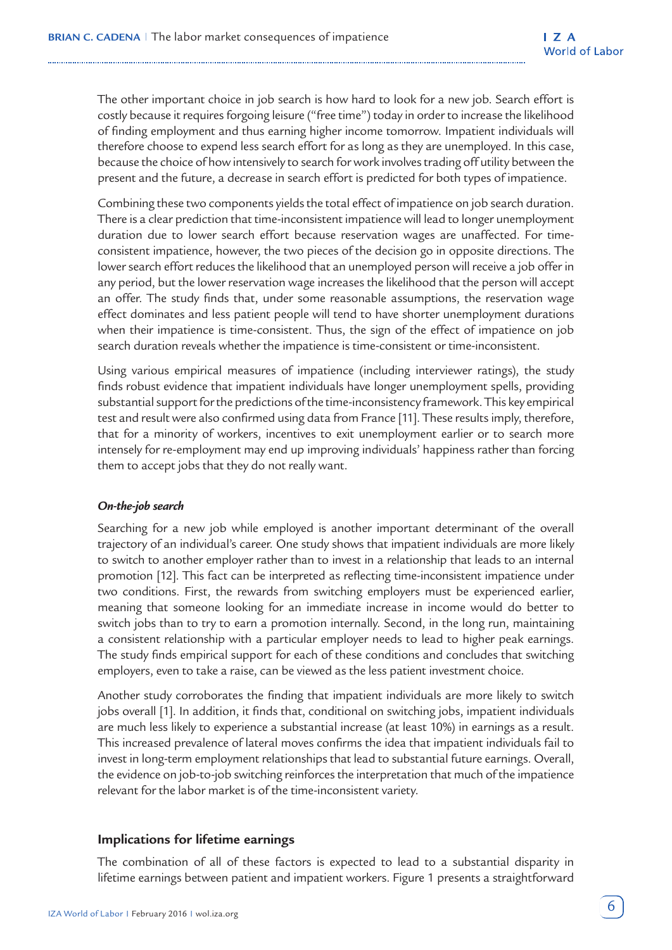The other important choice in job search is how hard to look for a new job. Search effort is costly because it requires forgoing leisure ("free time") today in order to increase the likelihood of finding employment and thus earning higher income tomorrow. Impatient individuals will therefore choose to expend less search effort for as long as they are unemployed. In this case, because the choice of how intensively to search for work involves trading off utility between the present and the future, a decrease in search effort is predicted for both types of impatience.

Combining these two components yields the total effect of impatience on job search duration. There is a clear prediction that time-inconsistent impatience will lead to longer unemployment duration due to lower search effort because reservation wages are unaffected. For timeconsistent impatience, however, the two pieces of the decision go in opposite directions. The lower search effort reduces the likelihood that an unemployed person will receive a job offer in any period, but the lower reservation wage increases the likelihood that the person will accept an offer. The study finds that, under some reasonable assumptions, the reservation wage effect dominates and less patient people will tend to have shorter unemployment durations when their impatience is time-consistent. Thus, the sign of the effect of impatience on job search duration reveals whether the impatience is time-consistent or time-inconsistent.

Using various empirical measures of impatience (including interviewer ratings), the study finds robust evidence that impatient individuals have longer unemployment spells, providing substantial support for the predictions of the time-inconsistency framework. This key empirical test and result were also confirmed using data from France [11]. These results imply, therefore, that for a minority of workers, incentives to exit unemployment earlier or to search more intensely for re-employment may end up improving individuals' happiness rather than forcing them to accept jobs that they do not really want.

#### *On-the-job search*

Searching for a new job while employed is another important determinant of the overall trajectory of an individual's career. One study shows that impatient individuals are more likely to switch to another employer rather than to invest in a relationship that leads to an internal promotion [12]. This fact can be interpreted as reflecting time-inconsistent impatience under two conditions. First, the rewards from switching employers must be experienced earlier, meaning that someone looking for an immediate increase in income would do better to switch jobs than to try to earn a promotion internally. Second, in the long run, maintaining a consistent relationship with a particular employer needs to lead to higher peak earnings. The study finds empirical support for each of these conditions and concludes that switching employers, even to take a raise, can be viewed as the less patient investment choice.

Another study corroborates the finding that impatient individuals are more likely to switch jobs overall [1]. In addition, it finds that, conditional on switching jobs, impatient individuals are much less likely to experience a substantial increase (at least 10%) in earnings as a result. This increased prevalence of lateral moves confirms the idea that impatient individuals fail to invest in long-term employment relationships that lead to substantial future earnings. Overall, the evidence on job-to-job switching reinforces the interpretation that much of the impatience relevant for the labor market is of the time-inconsistent variety.

#### **Implications for lifetime earnings**

The combination of all of these factors is expected to lead to a substantial disparity in lifetime earnings between patient and impatient workers. Figure 1 presents a straightforward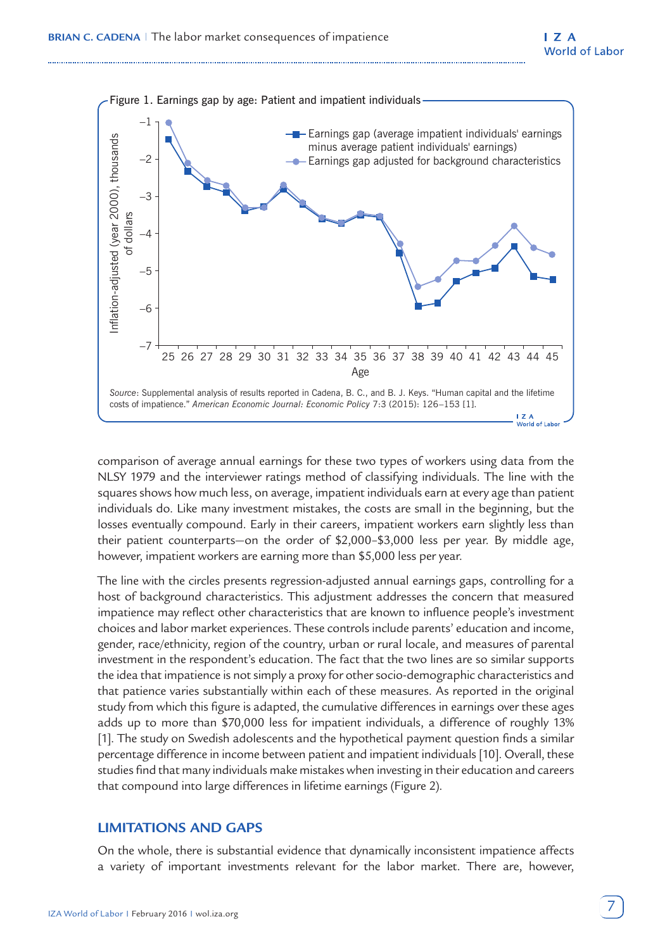

comparison of average annual earnings for these two types of workers using data from the NLSY 1979 and the interviewer ratings method of classifying individuals. The line with the squares shows how much less, on average, impatient individuals earn at every age than patient individuals do. Like many investment mistakes, the costs are small in the beginning, but the losses eventually compound. Early in their careers, impatient workers earn slightly less than their patient counterparts—on the order of \$2,000–\$3,000 less per year. By middle age, however, impatient workers are earning more than \$5,000 less per year.

The line with the circles presents regression-adjusted annual earnings gaps, controlling for a host of background characteristics. This adjustment addresses the concern that measured impatience may reflect other characteristics that are known to influence people's investment choices and labor market experiences. These controls include parents' education and income, gender, race/ethnicity, region of the country, urban or rural locale, and measures of parental investment in the respondent's education. The fact that the two lines are so similar supports the idea that impatience is not simply a proxy for other socio-demographic characteristics and that patience varies substantially within each of these measures. As reported in the original study from which this figure is adapted, the cumulative differences in earnings over these ages adds up to more than \$70,000 less for impatient individuals, a difference of roughly 13% [1]. The study on Swedish adolescents and the hypothetical payment question finds a similar percentage difference in income between patient and impatient individuals [10]. Overall, these studies find that many individuals make mistakes when investing in their education and careers that compound into large differences in lifetime earnings (Figure 2).

## **LIMITATIONS AND GAPS**

On the whole, there is substantial evidence that dynamically inconsistent impatience affects a variety of important investments relevant for the labor market. There are, however,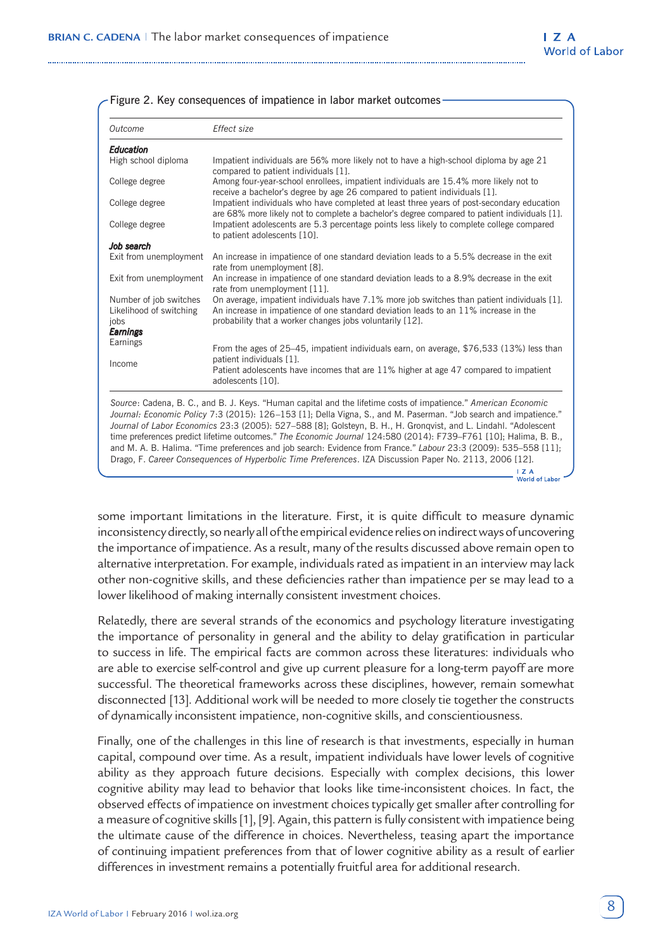| Outcome                                                                      | Effect size                                                                                                                                                                                                                                                                                                                                                                                                                                                                                                                                                                                                                                                                                                                        |  |  |  |  |
|------------------------------------------------------------------------------|------------------------------------------------------------------------------------------------------------------------------------------------------------------------------------------------------------------------------------------------------------------------------------------------------------------------------------------------------------------------------------------------------------------------------------------------------------------------------------------------------------------------------------------------------------------------------------------------------------------------------------------------------------------------------------------------------------------------------------|--|--|--|--|
| Education                                                                    |                                                                                                                                                                                                                                                                                                                                                                                                                                                                                                                                                                                                                                                                                                                                    |  |  |  |  |
| High school diploma                                                          | Impatient individuals are 56% more likely not to have a high-school diploma by age 21<br>compared to patient individuals [1].                                                                                                                                                                                                                                                                                                                                                                                                                                                                                                                                                                                                      |  |  |  |  |
| College degree                                                               | Among four-year-school enrollees, impatient individuals are 15.4% more likely not to<br>receive a bachelor's degree by age 26 compared to patient individuals [1].                                                                                                                                                                                                                                                                                                                                                                                                                                                                                                                                                                 |  |  |  |  |
| College degree                                                               | Impatient individuals who have completed at least three years of post-secondary education<br>are 68% more likely not to complete a bachelor's degree compared to patient individuals [1].                                                                                                                                                                                                                                                                                                                                                                                                                                                                                                                                          |  |  |  |  |
| College degree                                                               | Impatient adolescents are 5.3 percentage points less likely to complete college compared<br>to patient adolescents [10].                                                                                                                                                                                                                                                                                                                                                                                                                                                                                                                                                                                                           |  |  |  |  |
| Job search                                                                   |                                                                                                                                                                                                                                                                                                                                                                                                                                                                                                                                                                                                                                                                                                                                    |  |  |  |  |
| Exit from unemployment                                                       | An increase in impatience of one standard deviation leads to a 5.5% decrease in the exit<br>rate from unemployment [8].                                                                                                                                                                                                                                                                                                                                                                                                                                                                                                                                                                                                            |  |  |  |  |
| Exit from unemployment                                                       | An increase in impatience of one standard deviation leads to a 8.9% decrease in the exit<br>rate from unemployment [11].                                                                                                                                                                                                                                                                                                                                                                                                                                                                                                                                                                                                           |  |  |  |  |
| Number of job switches<br>Likelihood of switching<br>jobs<br><b>Earnings</b> | On average, impatient individuals have 7.1% more job switches than patient individuals [1].<br>An increase in impatience of one standard deviation leads to an 11% increase in the<br>probability that a worker changes jobs voluntarily [12].                                                                                                                                                                                                                                                                                                                                                                                                                                                                                     |  |  |  |  |
| Earnings                                                                     | From the ages of 25–45, impatient individuals earn, on average, \$76,533 (13%) less than<br>patient individuals [1].                                                                                                                                                                                                                                                                                                                                                                                                                                                                                                                                                                                                               |  |  |  |  |
| Income                                                                       | Patient adolescents have incomes that are 11% higher at age 47 compared to impatient<br>adolescents [10].                                                                                                                                                                                                                                                                                                                                                                                                                                                                                                                                                                                                                          |  |  |  |  |
|                                                                              | Source: Cadena, B. C., and B. J. Keys. "Human capital and the lifetime costs of impatience." American Economic<br>Journal: Economic Policy 7:3 (2015): 126-153 [1]; Della Vigna, S., and M. Paserman. "Job search and impatience."<br>Journal of Labor Economics 23:3 (2005): 527-588 [8]; Golsteyn, B. H., H. Gronqvist, and L. Lindahl. "Adolescent<br>time preferences predict lifetime outcomes." The Economic Journal 124:580 (2014): F739-F761 [10]; Halima, B. B.,<br>and M. A. B. Halima. "Time preferences and job search: Evidence from France." Labour 23:3 (2009): 535–558 [11];<br>Drago, F. Career Consequences of Hyperbolic Time Preferences. IZA Discussion Paper No. 2113, 2006 [12].<br>I Z A<br>World of Labor |  |  |  |  |

|  |  |  |  | - Figure 2. Key consequences of impatience in labor market outcomes - |  |
|--|--|--|--|-----------------------------------------------------------------------|--|
|--|--|--|--|-----------------------------------------------------------------------|--|

some important limitations in the literature. First, it is quite difficult to measure dynamic inconsistency directly, so nearly all of the empirical evidence relies on indirect ways of uncovering the importance of impatience. As a result, many of the results discussed above remain open to alternative interpretation. For example, individuals rated as impatient in an interview may lack other non-cognitive skills, and these deficiencies rather than impatience per se may lead to a lower likelihood of making internally consistent investment choices.

Relatedly, there are several strands of the economics and psychology literature investigating the importance of personality in general and the ability to delay gratification in particular to success in life. The empirical facts are common across these literatures: individuals who are able to exercise self-control and give up current pleasure for a long-term payoff are more successful. The theoretical frameworks across these disciplines, however, remain somewhat disconnected [13]. Additional work will be needed to more closely tie together the constructs of dynamically inconsistent impatience, non-cognitive skills, and conscientiousness.

Finally, one of the challenges in this line of research is that investments, especially in human capital, compound over time. As a result, impatient individuals have lower levels of cognitive ability as they approach future decisions. Especially with complex decisions, this lower cognitive ability may lead to behavior that looks like time-inconsistent choices. In fact, the observed effects of impatience on investment choices typically get smaller after controlling for a measure of cognitive skills [1], [9]. Again, this pattern is fully consistent with impatience being the ultimate cause of the difference in choices. Nevertheless, teasing apart the importance of continuing impatient preferences from that of lower cognitive ability as a result of earlier differences in investment remains a potentially fruitful area for additional research.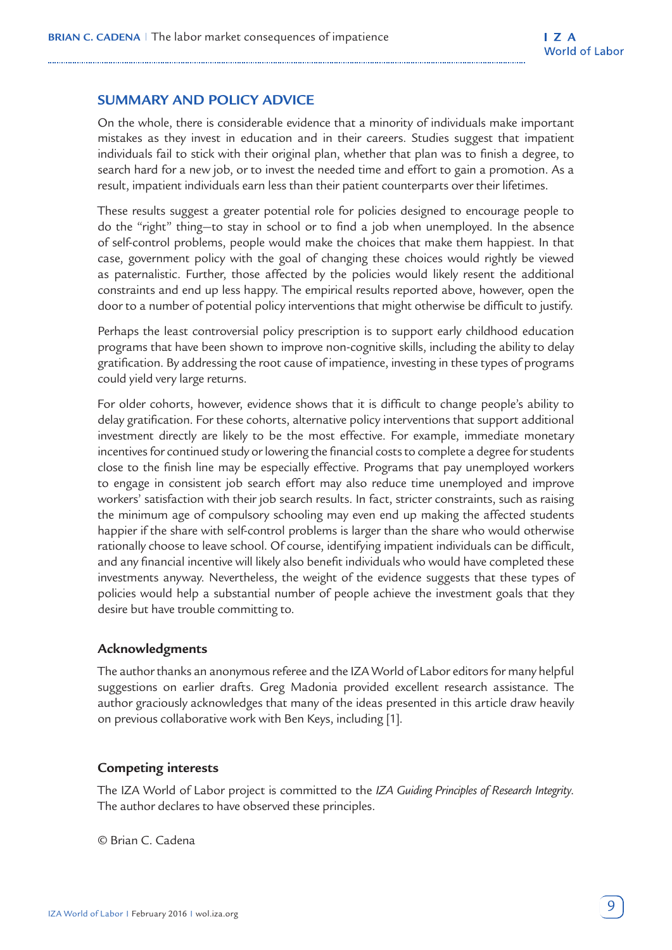## **SUMMARY AND POLICY ADVICE**

On the whole, there is considerable evidence that a minority of individuals make important mistakes as they invest in education and in their careers. Studies suggest that impatient individuals fail to stick with their original plan, whether that plan was to finish a degree, to search hard for a new job, or to invest the needed time and effort to gain a promotion. As a result, impatient individuals earn less than their patient counterparts over their lifetimes.

These results suggest a greater potential role for policies designed to encourage people to do the "right" thing—to stay in school or to find a job when unemployed. In the absence of self-control problems, people would make the choices that make them happiest. In that case, government policy with the goal of changing these choices would rightly be viewed as paternalistic. Further, those affected by the policies would likely resent the additional constraints and end up less happy. The empirical results reported above, however, open the door to a number of potential policy interventions that might otherwise be difficult to justify.

Perhaps the least controversial policy prescription is to support early childhood education programs that have been shown to improve non-cognitive skills, including the ability to delay gratification. By addressing the root cause of impatience, investing in these types of programs could yield very large returns.

For older cohorts, however, evidence shows that it is difficult to change people's ability to delay gratification. For these cohorts, alternative policy interventions that support additional investment directly are likely to be the most effective. For example, immediate monetary incentives for continued study or lowering the financial costs to complete a degree for students close to the finish line may be especially effective. Programs that pay unemployed workers to engage in consistent job search effort may also reduce time unemployed and improve workers' satisfaction with their job search results. In fact, stricter constraints, such as raising the minimum age of compulsory schooling may even end up making the affected students happier if the share with self-control problems is larger than the share who would otherwise rationally choose to leave school. Of course, identifying impatient individuals can be difficult, and any financial incentive will likely also benefit individuals who would have completed these investments anyway. Nevertheless, the weight of the evidence suggests that these types of policies would help a substantial number of people achieve the investment goals that they desire but have trouble committing to.

## **Acknowledgments**

The author thanks an anonymous referee and the IZA World of Labor editors for many helpful suggestions on earlier drafts. Greg Madonia provided excellent research assistance. The author graciously acknowledges that many of the ideas presented in this article draw heavily on previous collaborative work with Ben Keys, including [1].

## **Competing interests**

The IZA World of Labor project is committed to the *IZA Guiding Principles of Research Integrity*. The author declares to have observed these principles.

© Brian C. Cadena